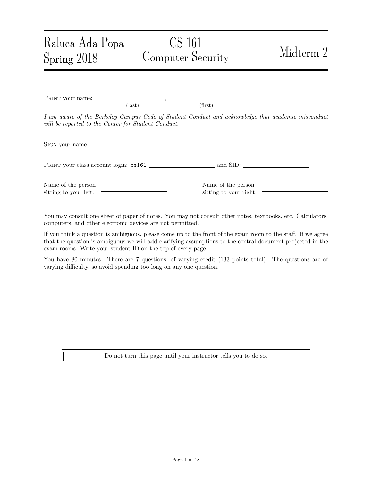# CS 161 Computer Security Midterm 2

PRINT your name:  $\text{(last)}\tag{first}$ I am aware of the Berkeley Campus Code of Student Conduct and acknowledge that academic misconduct will be reported to the Center for Student Conduct. Sign your name: PRINT your class account login:  $cs161$ -<br>and SID:

Name of the person sitting to your left:

Raluca Ada Popa

Spring 2018

Name of the person sitting to your right:

You may consult one sheet of paper of notes. You may not consult other notes, textbooks, etc. Calculators, computers, and other electronic devices are not permitted.

If you think a question is ambiguous, please come up to the front of the exam room to the staff. If we agree that the question is ambiguous we will add clarifying assumptions to the central document projected in the exam rooms. Write your student ID on the top of every page.

You have 80 minutes. There are 7 questions, of varying credit (133 points total). The questions are of varying difficulty, so avoid spending too long on any one question.

Do not turn this page until your instructor tells you to do so.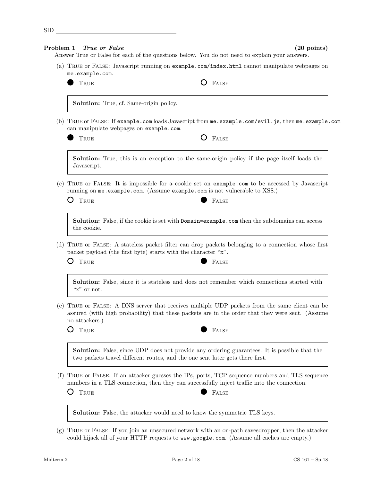|     | True or False<br>Problem 1                                                                                                                                                                                           | $(20 \text{ points})$<br>Answer True or False for each of the questions below. You do not need to explain your answers.                                                              |  |  |  |
|-----|----------------------------------------------------------------------------------------------------------------------------------------------------------------------------------------------------------------------|--------------------------------------------------------------------------------------------------------------------------------------------------------------------------------------|--|--|--|
|     | me.example.com.                                                                                                                                                                                                      | (a) TRUE or FALSE: Javascript running on example.com/index.html cannot manipulate webpages on                                                                                        |  |  |  |
|     | TRUE                                                                                                                                                                                                                 | FALSE                                                                                                                                                                                |  |  |  |
|     | Solution: True, cf. Same-origin policy.                                                                                                                                                                              |                                                                                                                                                                                      |  |  |  |
|     | can manipulate webpages on example.com.                                                                                                                                                                              | (b) TRUE or FALSE: If example.com loads Javascript from me.example.com/evil.js, then me.example.com                                                                                  |  |  |  |
|     | TRUE                                                                                                                                                                                                                 | O<br>FALSE                                                                                                                                                                           |  |  |  |
|     | Javascript.                                                                                                                                                                                                          | <b>Solution:</b> True, this is an exception to the same-origin policy if the page itself loads the                                                                                   |  |  |  |
|     | TRUE or FALSE: It is impossible for a cookie set on example.com to be accessed by Javascript<br>running on me.example.com. (Assume example.com is not vulnerable to XSS.)                                            |                                                                                                                                                                                      |  |  |  |
|     | $\left( \right)$<br>TRUE                                                                                                                                                                                             | FALSE                                                                                                                                                                                |  |  |  |
|     | the cookie.                                                                                                                                                                                                          | <b>Solution:</b> False, if the cookie is set with Domain=example.com then the subdomains can access                                                                                  |  |  |  |
|     | (d) TRUE or FALSE: A stateless packet filter can drop packets belonging to a connection whose first<br>packet payload (the first byte) starts with the character "x".                                                |                                                                                                                                                                                      |  |  |  |
|     | TRUE<br>( )                                                                                                                                                                                                          | FALSE                                                                                                                                                                                |  |  |  |
|     | "x" or not.                                                                                                                                                                                                          | <b>Solution:</b> False, since it is stateless and does not remember which connections started with                                                                                   |  |  |  |
|     | (e) TRUE or FALSE: A DNS server that receives multiple UDP packets from the same client can be<br>assured (with high probability) that these packets are in the order that they were sent. (Assume<br>no attackers.) |                                                                                                                                                                                      |  |  |  |
|     | $\mathcal{O}$<br>TRUE                                                                                                                                                                                                | FALSE                                                                                                                                                                                |  |  |  |
|     |                                                                                                                                                                                                                      | <b>Solution:</b> False, since UDP does not provide any ordering guarantees. It is possible that the<br>two packets travel different routes, and the one sent later gets there first. |  |  |  |
|     |                                                                                                                                                                                                                      |                                                                                                                                                                                      |  |  |  |
| (f) | TRUE<br>O                                                                                                                                                                                                            | numbers in a TLS connection, then they can successfully inject traffic into the connection.<br><b>FALSE</b>                                                                          |  |  |  |
|     |                                                                                                                                                                                                                      | TRUE or FALSE: If an attacker guesses the IPs, ports, TCP sequence numbers and TLS sequence<br><b>Solution:</b> False, the attacker would need to know the symmetric TLS keys.       |  |  |  |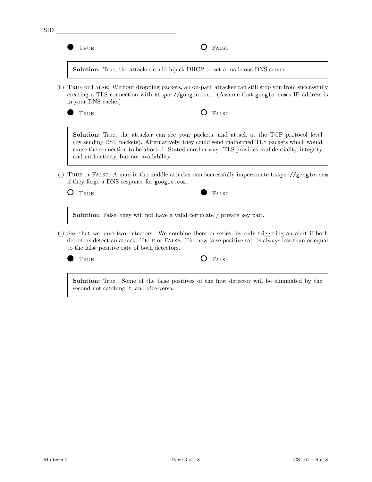|     | TRUE                                                                                                                                                                                                                   | <b>FALSE</b>                                                                                                                                                                                                                                                                                    |  |  |  |  |
|-----|------------------------------------------------------------------------------------------------------------------------------------------------------------------------------------------------------------------------|-------------------------------------------------------------------------------------------------------------------------------------------------------------------------------------------------------------------------------------------------------------------------------------------------|--|--|--|--|
|     |                                                                                                                                                                                                                        | <b>Solution:</b> True, the attacker could hijack DHCP to set a malicious DNS server.                                                                                                                                                                                                            |  |  |  |  |
| (h) | TRUE or FALSE: Without dropping packets, an on-path attacker can still stop you from successfully<br>creating a TLS connection with https://google.com. (Assume that google.com's IP address is<br>in your DNS cache.) |                                                                                                                                                                                                                                                                                                 |  |  |  |  |
|     | TRUE                                                                                                                                                                                                                   | FALSE                                                                                                                                                                                                                                                                                           |  |  |  |  |
|     | and authenticity, but not availability.                                                                                                                                                                                | <b>Solution:</b> True, the attacker can see your packets, and attack at the TCP protocol level<br>(by sending RST packets). Alternatively, they could send malformed TLS packets which would<br>cause the connection to be aborted. Stated another way: TLS provides confidentiality, integrity |  |  |  |  |
| (i) | if they forge a DNS response for google.com.                                                                                                                                                                           | TRUE or FALSE: A man-in-the-middle attacker can successfully impersonate https://google.com                                                                                                                                                                                                     |  |  |  |  |
|     | TRUE                                                                                                                                                                                                                   | <b>FALSE</b>                                                                                                                                                                                                                                                                                    |  |  |  |  |
|     |                                                                                                                                                                                                                        | <b>Solution:</b> False, they will not have a valid certificate / private key pair.                                                                                                                                                                                                              |  |  |  |  |
|     | to the false positive rate of both detectors.                                                                                                                                                                          | Say that we have two detectors. We combine them in series, by only triggering an alert if both<br>detectors detect an attack. TRUE or FALSE: The new false positive rate is always less than or equal                                                                                           |  |  |  |  |
|     | TRUE                                                                                                                                                                                                                   | FALSE                                                                                                                                                                                                                                                                                           |  |  |  |  |
| (i) | second not catching it, and vice-versa.                                                                                                                                                                                | <b>Solution:</b> True. Some of the false positives of the first detector will be eliminated by the                                                                                                                                                                                              |  |  |  |  |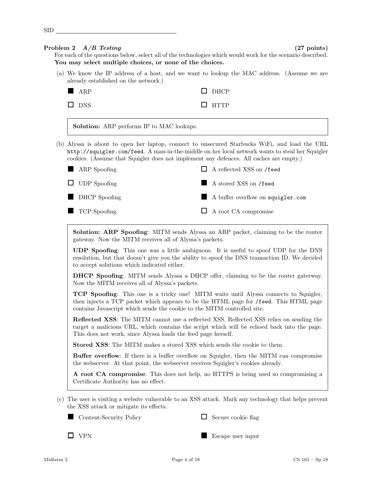|     | Problem 2 $A/B$ Testing                                                          | $(27 \text{ points})$                                                                                                                                                                                                                                                                     |
|-----|----------------------------------------------------------------------------------|-------------------------------------------------------------------------------------------------------------------------------------------------------------------------------------------------------------------------------------------------------------------------------------------|
|     | You may select multiple choices, or none of the choices.                         | For each of the questions below, select all of the technologies which would work for the scenario described.                                                                                                                                                                              |
|     | already established on the network.)                                             | (a) We know the IP address of a host, and we want to lookup the MAC address. (Assume we are                                                                                                                                                                                               |
|     | ARP                                                                              | <b>DHCP</b>                                                                                                                                                                                                                                                                               |
|     | $\square$ DNS                                                                    | <b>HTTP</b>                                                                                                                                                                                                                                                                               |
|     | <b>Solution:</b> ARP performs IP to MAC lookups.                                 |                                                                                                                                                                                                                                                                                           |
|     |                                                                                  | (b) Alyssa is about to open her laptop, connect to unsecured Starbucks WiFi, and load the URL<br>http://squigler.com/feed. A man-in-the-middle on her local network wants to steal her Squigler<br>cookies. (Assume that Squigler does not implement any defences. All caches are empty.) |
|     | ARP Spoofing                                                                     | $\Box$ A reflected XSS on /feed                                                                                                                                                                                                                                                           |
|     | <b>UDP</b> Spoofing                                                              | A stored XSS on /feed                                                                                                                                                                                                                                                                     |
|     | <b>DHCP</b> Spoofing                                                             | A buffer overflow on squigler.com                                                                                                                                                                                                                                                         |
|     | TCP Spoofing                                                                     | A root CA compromise<br>ப                                                                                                                                                                                                                                                                 |
|     | gateway. Now the MITM receives all of Alyssa's packets.                          | <b>Solution: ARP Spoofing:</b> MITM sends Alyssa an ARP packet, claiming to be the router                                                                                                                                                                                                 |
|     | to accept solutions which indicated either.                                      | UDP Spoofing: This one was a little ambiguous. It is useful to spoof UDP for the DNS<br>resolution, but that doesn't give you the ability to spoof the DNS transaction ID. We decided                                                                                                     |
|     | Now the MITM receives all of Alyssa's packets.                                   | DHCP Spoofing: MITM sends Alyssa a DHCP offer, claiming to be the router gaterway.                                                                                                                                                                                                        |
|     | contains Javascript which sends the cookie to the MITM controlled site.          | <b>TCP Spoofing:</b> This one is a tricky one! MITM waits until Alyssa connects to Squigler,<br>then injects a TCP packet which appears to be the HTML page for /feed. This HTML page                                                                                                     |
|     | This does not work, since Alyssa loads the feed page herself.                    | <b>Reflected XSS:</b> The MITM cannot use a reflected XSS. Reflected XSS relies on sending the<br>target a malicious URL, which contains the script which will be echoed back into the page.                                                                                              |
|     | <b>Stored XSS:</b> The MITM makes a stored XSS which sends the cookie to them.   |                                                                                                                                                                                                                                                                                           |
|     | the webserver. At that point, the webserver receives Squigler's cookies already. | <b>Buffer overflow</b> : If there is a buffer overflow on Squigler, then the MITM can compromise                                                                                                                                                                                          |
|     | Certificate Authority has no effect.                                             | A root CA compromise: This does not help, no HTTPS is being used so compromising a                                                                                                                                                                                                        |
| (c) | the XSS attack or mitigate its effects.                                          | The user is visiting a website vulnerable to an XSS attack. Mark any technology that helps prevent                                                                                                                                                                                        |
|     | Content-Security Policy                                                          | Secure cookie flag                                                                                                                                                                                                                                                                        |
|     | <b>VPN</b>                                                                       | Escape user input                                                                                                                                                                                                                                                                         |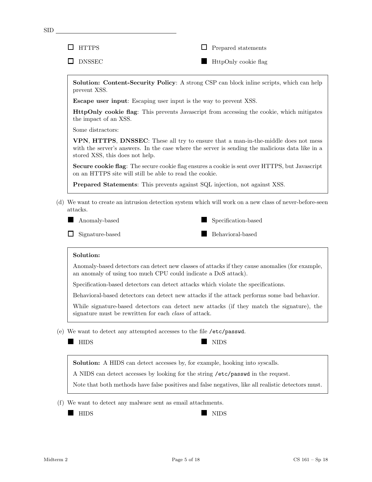| <b>HTTPS</b>                                                 | Prepared statements                                                                                                                                                                   |
|--------------------------------------------------------------|---------------------------------------------------------------------------------------------------------------------------------------------------------------------------------------|
| <b>DNSSEC</b>                                                | HttpOnly cookie flag                                                                                                                                                                  |
| prevent XSS.                                                 | <b>Solution: Content-Security Policy:</b> A strong CSP can block in line scripts, which can help                                                                                      |
|                                                              | <b>Escape user input:</b> Escaping user input is the way to prevent XSS.                                                                                                              |
| the impact of an XSS.                                        | <b>HttpOnly cookie flag:</b> This prevents Javascript from accessing the cookie, which mitigates                                                                                      |
| Some distractors:                                            |                                                                                                                                                                                       |
| stored XSS, this does not help.                              | VPN, HTTPS, DNSSEC: These all try to ensure that a man-in-the-middle does not mess<br>with the server's answers. In the case where the server is sending the malicious data like in a |
| on an HTTPS site will still be able to read the cookie.      | Secure cookie flag: The secure cookie flag ensures a cookie is sent over HTTPS, but Javascript                                                                                        |
|                                                              | <b>Prepared Statements:</b> This prevents against SQL injection, not against XSS.                                                                                                     |
| Anomaly-based<br>Signature-based                             | Specification-based<br>Behavioral-based                                                                                                                                               |
|                                                              |                                                                                                                                                                                       |
| Solution:                                                    |                                                                                                                                                                                       |
|                                                              | Anomaly-based detectors can detect new classes of attacks if they cause anomalies (for example,<br>an anomaly of using too much CPU could indicate a DoS attack).                     |
|                                                              | Specification-based detectors can detect attacks which violate the specifications.                                                                                                    |
|                                                              | Behavioral-based detectors can detect new attacks if the attack performs some bad behavior.                                                                                           |
| signature must be rewritten for each <i>class</i> of attack. | While signature-based detectors can detect new attacks (if they match the signature), the                                                                                             |
|                                                              | (e) We want to detect any attempted accesses to the file /etc/passwd.                                                                                                                 |
| <b>HIDS</b>                                                  | <b>NIDS</b>                                                                                                                                                                           |
|                                                              | <b>Solution:</b> A HIDS can detect accesses by, for example, hooking into syscalls.                                                                                                   |
|                                                              | A NIDS can detect accesses by looking for the string /etc/passwd in the request.                                                                                                      |
|                                                              | Note that both methods have false positives and false negatives, like all realistic detectors must.                                                                                   |

(f) We want to detect any malware sent as email attachments.

**EXTREMELY SET AND STATES**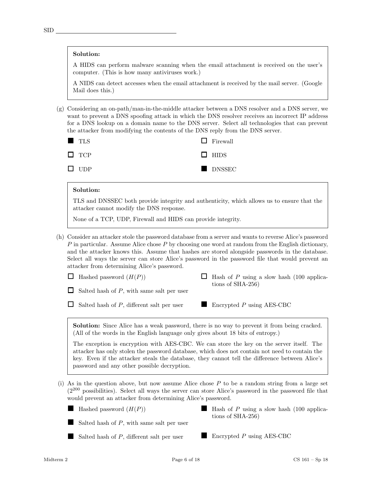### Solution:

A HIDS can perform malware scanning when the email attachment is received on the user's computer. (This is how many antiviruses work.)

A NIDS can detect accesses when the email attachment is received by the mail server. (Google Mail does this.)

(g) Considering an on-path/man-in-the-middle attacker between a DNS resolver and a DNS server, we want to prevent a DNS spoofing attack in which the DNS resolver receives an incorrect IP address for a DNS lookup on a domain name to the DNS server. Select all technologies that can prevent the attacker from modifying the contents of the DNS reply from the DNS server.

| <b>TLS</b> | $\Box$ Firewall |
|------------|-----------------|
| $\Box$ TCP | $\Box$ HIDS     |
| $\Box$ UDP | DNSSEC          |

# Solution:

TLS and DNSSEC both provide integrity and authenticity, which allows us to ensure that the attacker cannot modify the DNS response.

None of a TCP, UDP, Firewall and HIDS can provide integrity.

(h) Consider an attacker stole the password database from a server and wants to reverse Alice's password  $P$  in particular. Assume Alice chose  $P$  by choosing one word at random from the English dictionary, and the attacker knows this. Assume that hashes are stored alongside passwords in the database. Select all ways the server can store Alice's password in the password file that would prevent an attacker from determining Alice's password.

| $\Box$ Hashed password $(H(P))$                  | $\Box$ Hash of P using a slow hash (100 applica- |
|--------------------------------------------------|--------------------------------------------------|
| $\Box$ Salted hash of P, with same salt per user | tions of SHA-256)                                |
|                                                  |                                                  |

Solution: Since Alice has a weak password, there is no way to prevent it from being cracked. (All of the words in the English language only gives about 18 bits of entropy.)

The exception is encryption with AES-CBC. We can store the key on the server itself. The attacker has only stolen the password database, which does not contain not need to contain the key. Even if the attacker steals the database, they cannot tell the difference between Alice's password and any other possible decryption.

- (i) As in the question above, but now assume Alice chose  $P$  to be a random string from a large set  $(2^{200}$  possibilities). Select all ways the server can store Alice's password in the password file that would prevent an attacker from determining Alice's password.
	- **Hashed password**  $(H(P))$ Hash of  $P$  using a slow hash (100 applicaш tions of SHA-256) Salted hash of  $P$ , with same salt per user
		- Salted hash of P, different salt per user

 $\Box$  Salted hash of P, different salt per user

 $\blacksquare$  Encrypted P using AES-CBC

 $\blacksquare$  Encrypted P using AES-CBC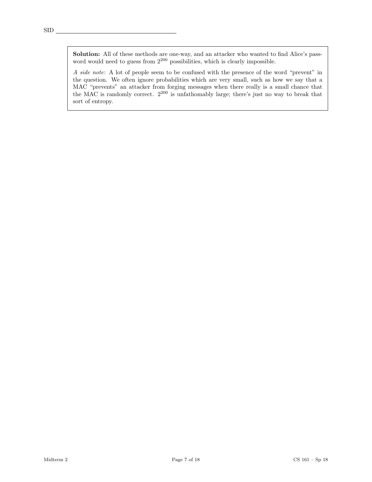Solution: All of these methods are one-way, and an attacker who wanted to find Alice's password would need to guess from  $2^{200}$  possibilities, which is clearly impossible.

A side note: A lot of people seem to be confused with the presence of the word "prevent" in the question. We often ignore probabilities which are very small, such as how we say that a MAC "prevents" an attacker from forging messages when there really is a small chance that the MAC is randomly correct. 2<sup>200</sup> is unfathomably large; there's just no way to break that sort of entropy.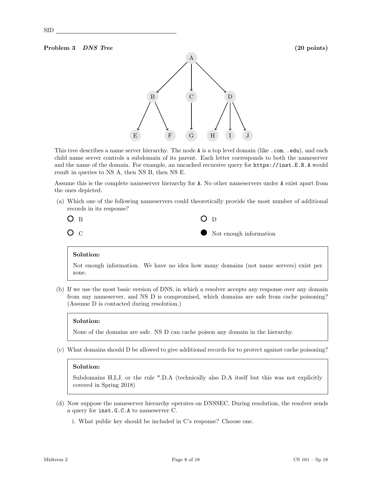### Problem 3 DNS Tree (20 points)



This tree describes a name server hierarchy. The node A is a top level domain (like .com, .edu), and each child name server controls a subdomain of its parent. Each letter corresponds to both the nameserver and the name of the domain. For example, an uncached recursive query for https://inst.E.B.A would result in queries to NS A, then NS B, then NS E.

Assume this is the complete nameserver hierarchy for A. No other nameservers under A exist apart from the ones depicted.

(a) Which one of the following nameservers could theoretically provide the most number of additional records in its response?



### Solution:

Not enough information. We have no idea how many domains (not name servers) exist per zone.

(b) If we use the most basic version of DNS, in which a resolver accepts any response over any domain from any nameserver, and NS D is compromised, which domains are safe from cache poisoning? (Assume D is contacted during resolution.)

### Solution:

None of the domains are safe. NS D can cache poison any domain in the hierarchy.

(c) What domains should D be allowed to give additional records for to protect against cache poisoning?

# Solution:

Subdomains H,I,J, or the rule \*.D.A (technically also D.A itself but this was not explicitly covered in Spring 2018)

- (d) Now suppose the nameserver hierarchy operates on DNSSEC. During resolution, the resolver sends a query for inst.G.C.A to nameserver C.
	- i. What public key should be included in C's response? Choose one.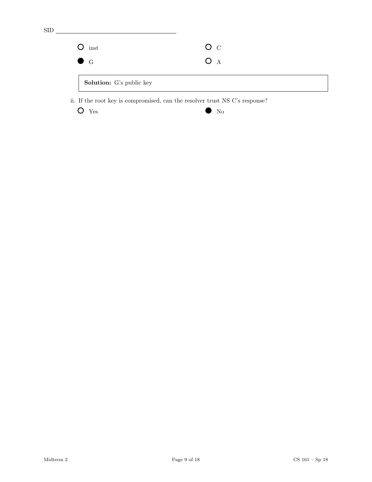$O$  inst G  $O<sub>C</sub>$ O A Solution: G's public key

ii. If the root key is compromised, can the resolver trust NS C's response?

 $\bigcirc$  Yes  $\bigcirc$  No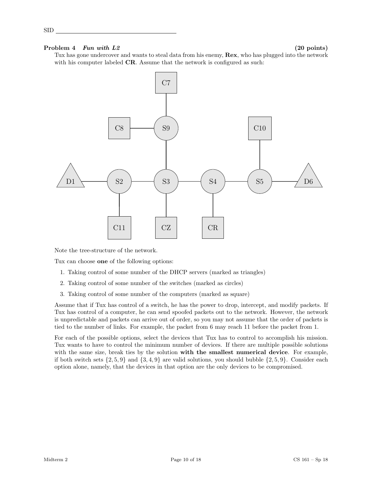# Problem  $4$  Fun with  $L2$  (20 points)

SID

Tux has gone undercover and wants to steal data from his enemy,  $\textbf{Rex}$ , who has plugged into the network with his computer labeled **CR**. Assume that the network is configured as such:



Note the tree-structure of the network.

Tux can choose one of the following options:

- 1. Taking control of some number of the DHCP servers (marked as triangles)
- 2. Taking control of some number of the switches (marked as circles)
- 3. Taking control of some number of the computers (marked as square)

Assume that if Tux has control of a switch, he has the power to drop, intercept, and modify packets. If Tux has control of a computer, he can send spoofed packets out to the network. However, the network is unpredictable and packets can arrive out of order, so you may not assume that the order of packets is tied to the number of links. For example, the packet from 6 may reach 11 before the packet from 1.

For each of the possible options, select the devices that Tux has to control to accomplish his mission. Tux wants to have to control the minimum number of devices. If there are multiple possible solutions with the same size, break ties by the solution with the smallest numerical device. For example, if both switch sets  $\{2, 5, 9\}$  and  $\{3, 4, 9\}$  are valid solutions, you should bubble  $\{2, 5, 9\}$ . Consider each option alone, namely, that the devices in that option are the only devices to be compromised.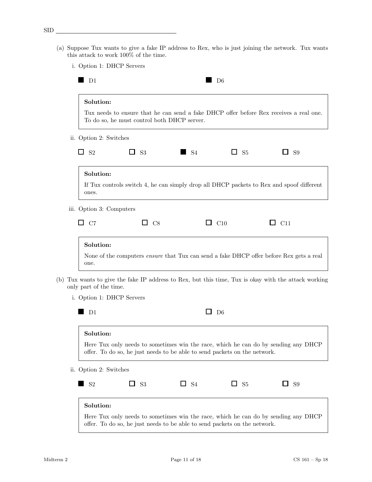- (a) Suppose Tux wants to give a fake IP address to Rex, who is just joining the network. Tux wants this attack to work  $100\%$  of the time.
	- i. Option 1: DHCP Servers

| Solution:                                                   | To do so, he must control both DHCP server. |                                                                           |                          | Tux needs to ensure that he can send a fake DHCP offer before Rex receives a real one.           |
|-------------------------------------------------------------|---------------------------------------------|---------------------------------------------------------------------------|--------------------------|--------------------------------------------------------------------------------------------------|
| ii. Option 2: Switches                                      |                                             |                                                                           |                          |                                                                                                  |
| □<br>S <sub>2</sub>                                         | $\Box$<br><b>S3</b>                         | S <sub>4</sub>                                                            | $\square$ S <sub>5</sub> | ப<br>S <sub>9</sub>                                                                              |
| Solution:<br>ones.                                          |                                             |                                                                           |                          | If Tux controls switch 4, he can simply drop all DHCP packets to Rex and spoof different         |
| iii. Option 3: Computers                                    |                                             |                                                                           |                          |                                                                                                  |
| $\Box$ C7                                                   | C8                                          | $\Box$                                                                    | C10                      | C11<br>ப                                                                                         |
| one.<br>only part of the time.<br>i. Option 1: DHCP Servers |                                             |                                                                           |                          | Tux wants to give the fake IP address to Rex, but this time, Tux is okay with the attack working |
| D <sub>1</sub>                                              |                                             | ப                                                                         | D6                       |                                                                                                  |
| Solution:                                                   |                                             | offer. To do so, he just needs to be able to send packets on the network. |                          | Here Tux only needs to sometimes win the race, which he can do by sending any DHCP               |
| ii. Option 2: Switches                                      |                                             |                                                                           |                          |                                                                                                  |
| $\rm S2$                                                    | S3<br>ப                                     | $\square$ S4                                                              | $\square$ S <sub>5</sub> | S9<br>$\Box$                                                                                     |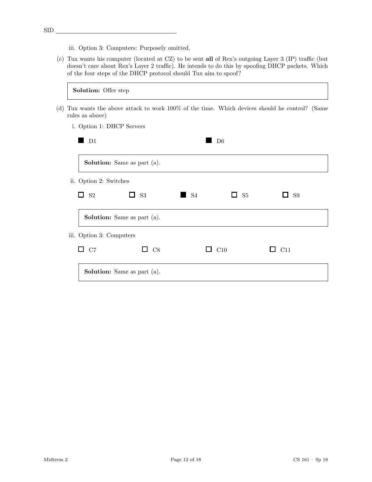SID

iii. Option 3: Computers: Purposely omitted.

(c) Tux wants his computer (located at CZ) to be sent all of Rex's outgoing Layer 3 (IP) traffic (but doesn't care about Rex's Layer 2 traffic). He intends to do this by spoofing DHCP packets. Which of the four steps of the DHCP protocol should Tux aim to spoof?

|     | Solution: Offer step      |                                                                                             |                        |                     |                       |  |
|-----|---------------------------|---------------------------------------------------------------------------------------------|------------------------|---------------------|-----------------------|--|
| (d) | rules as above)           | Tux wants the above attack to work 100% of the time. Which devices should he control? (Same |                        |                     |                       |  |
|     | i. Option 1: DHCP Servers |                                                                                             |                        |                     |                       |  |
|     | $\blacksquare$ D1         |                                                                                             | D <sub>6</sub>         |                     |                       |  |
|     |                           | <b>Solution:</b> Same as part (a).                                                          |                        |                     |                       |  |
|     | ii. Option 2: Switches    |                                                                                             |                        |                     |                       |  |
|     | П<br>S <sub>2</sub>       | S <sub>3</sub><br>$\mathsf{L}$                                                              | $\Box$ S4              | S <sub>5</sub><br>ப | S <sub>9</sub><br>- 1 |  |
|     |                           | <b>Solution:</b> Same as part (a).                                                          |                        |                     |                       |  |
|     | iii. Option 3: Computers  |                                                                                             |                        |                     |                       |  |
|     | $\Box$ C7                 | $\Box$ C <sub>8</sub>                                                                       | $\Box$ C <sub>10</sub> |                     | $\Box$ C11            |  |
|     |                           | <b>Solution:</b> Same as part (a).                                                          |                        |                     |                       |  |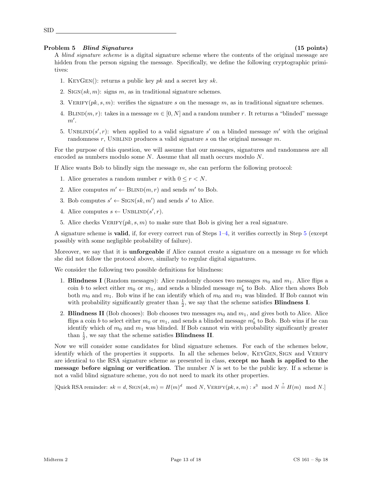### Problem 5 Blind Signatures (15 points)

SID

A *blind signature scheme* is a digital signature scheme where the contents of the original message are hidden from the person signing the message. Specifically, we define the following cryptographic primitives:

- 1. KEYGEN(): returns a public key  $pk$  and a secret key  $sk$ .
- 2. SIGN $(sk, m)$ : signs m, as in traditional signature schemes.
- 3. VERIFY $(pk, s, m)$ : verifies the signature s on the message m, as in traditional signature schemes.
- 4. BLIND(m, r): takes in a message  $m \in [0, N]$  and a random number r. It returns a "blinded" message  $m'.$
- 5. UNBLIND(s', r): when applied to a valid signature s' on a blinded message m' with the original randomness r, UNBLIND produces a valid signature s on the original message  $m$ .

For the purpose of this question, we will assume that our messages, signatures and randomness are all encoded as numbers modulo some  $N$ . Assume that all math occurs modulo  $N$ .

<span id="page-12-0"></span>If Alice wants Bob to blindly sign the message  $m$ , she can perform the following protocol:

- 1. Alice generates a random number r with  $0 \leq r < N$ .
- 2. Alice computes  $m' \leftarrow \text{BLIND}(m, r)$  and sends m' to Bob.
- 3. Bob computes  $s' \leftarrow \text{Sign}(sk, m')$  and sends s' to Alice.
- <span id="page-12-1"></span>4. Alice computes  $s \leftarrow \text{UNBLIND}(s', r)$ .
- <span id="page-12-2"></span>5. Alice checks VERIFY( $pk, s, m$ ) to make sure that Bob is giving her a real signature.

A signature scheme is valid, if, for every correct run of Steps [1](#page-12-0)[–4,](#page-12-1) it verifies correctly in Step [5](#page-12-2) (except possibly with some negligible probability of failure).

Moreover, we say that it is **unforgeable** if Alice cannot create a signature on a message  $m$  for which she did not follow the protocol above, similarly to regular digital signatures.

We consider the following two possible definitions for blindness:

- 1. Blindness I (Random messages): Alice randomly chooses two messages  $m_0$  and  $m_1$ . Alice flips a coin b to select either  $m_0$  or  $m_1$ , and sends a blinded message  $m'_b$  to Bob. Alice then shows Bob both  $m_0$  and  $m_1$ . Bob wins if he can identify which of  $m_0$  and  $m_1$  was blinded. If Bob cannot win with probability significantly greater than  $\frac{1}{2}$ , we say that the scheme satisfies **Blindness I**.
- 2. **Blindness II** (Bob chooses): Bob chooses two messages  $m_0$  and  $m_1$ , and gives both to Alice. Alice flips a coin b to select either  $m_0$  or  $m_1$ , and sends a blinded message  $m'_b$  to Bob. Bob wins if he can identify which of  $m_0$  and  $m_1$  was blinded. If Bob cannot win with probability significantly greater than  $\frac{1}{2}$ , we say that the scheme satisfies **Blindness II**.

Now we will consider some candidates for blind signature schemes. For each of the schemes below, identify which of the properties it supports. In all the schemes below, KEYGEN, SIGN and VERIFY are identical to the RSA signature scheme as presented in class, except no hash is applied to the **message before signing or verification**. The number  $N$  is set to be the public key. If a scheme is not a valid blind signature scheme, you do not need to mark its other properties.

[Quick RSA reminder:  $sk = d$ , SIGN $(sk, m) = H(m)^d \mod N$ , VERIFY $(pk, s, m) : s^3 \mod N \stackrel{?}{=} H(m) \mod N$ .]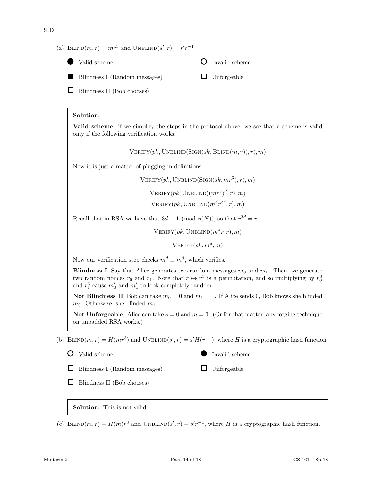SID (a) BLIND $(m, r) = mr^3$  and UNBLIND $(s', r) = s'r^{-1}$ . Valid scheme  $\bigcirc$  Invalid scheme Blindness I (Random messages)  $\Box$  Unforgeable

 $\Box$  Blindness II (Bob chooses)

# Solution:

Valid scheme: if we simplify the steps in the protocol above, we see that a scheme is valid only if the following verification works:

 $VERIFY(pk, UNBLIND(SIGN(sk, BLIND(m, r)), r), m)$ 

Now it is just a matter of plugging in definitions:

 $VERIFY(pk, UNBLIND(SIGN(sk, mr^3), r), m)$ 

 $\mathrm{VERIFY}(pk, \mathrm{UNBLIND}((mr^3)^d, r), m)$  $\mathrm{VERIFY}(pk, \mathrm{UNBLIND}(m^d r^{3d}, r), m)$ 

Recall that in RSA we have that  $3d \equiv 1 \pmod{\phi(N)}$ , so that  $r^{3d} = r$ .

 $\mathrm{VERIFY}(pk, \mathrm{UNBLIND}(m^d r, r), m)$ 

 $\mathrm{VERIFY}(pk, m^d, m)$ 

Now our verification step checks  $m^d \equiv m^d$ , which verifies.

**Blindness I:** Say that Alice generates two random messages  $m_0$  and  $m_1$ . Then, we generate two random nonces  $r_0$  and  $r_1$ . Note that  $r \mapsto r^3$  is a permutation, and so multiplying by  $r_0^3$ and  $r_1^3$  cause  $m'_0$  and  $m'_1$  to look completely random.

Not Blindness II: Bob can take  $m_0 = 0$  and  $m_1 = 1$ . If Alice sends 0, Bob knows she blinded  $m_0$ . Otherwise, she blinded  $m_1$ .

**Not Unforgeable:** Alice can take  $s = 0$  and  $m = 0$ . (Or for that matter, any forging technique on unpadded RSA works.)

(b) BLIND $(m, r) = H(mr^3)$  and UNBLIND $(s', r) = s'H(r^{-1})$ , where H is a cryptographic hash function.

```
\bullet Valid scheme Invalid scheme
```
 $\Box$  Unforgeable

 $\Box$  Blindness I (Random messages)

 $\Box$  Blindness II (Bob chooses)

# Solution: This is not valid.

(c) BLIND $(m, r) = H(m)r^3$  and UNBLIND $(s', r) = s'r^{-1}$ , where H is a cryptographic hash function.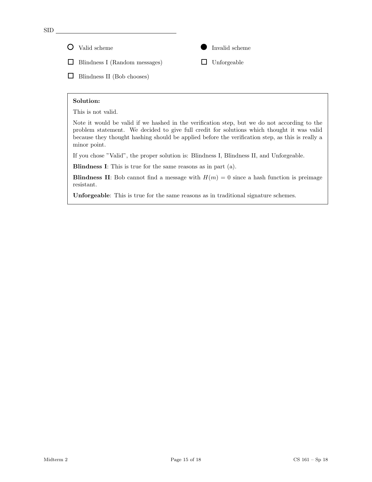SID

O Valid scheme Invalid scheme

 $\Box$  Blindness I (Random messages)

 $\Box$  Blindness II (Bob chooses)

# Solution:

This is not valid.

Note it would be valid if we hashed in the verification step, but we do not according to the problem statement. We decided to give full credit for solutions which thought it was valid because they thought hashing should be applied before the verification step, as this is really a minor point.

 $\Box$  Unforgeable

If you chose "Valid", the proper solution is: Blindness I, Blindness II, and Unforgeable.

Blindness I: This is true for the same reasons as in part (a).

**Blindness II:** Bob cannot find a message with  $H(m) = 0$  since a hash function is preimage resistant.

Unforgeable: This is true for the same reasons as in traditional signature schemes.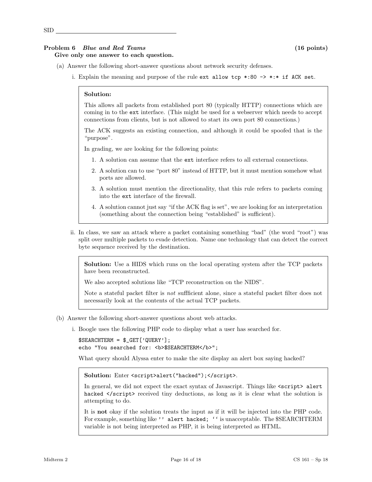# Problem 6 Blue and Red Teams (16 points) Give only one answer to each question.

- (a) Answer the following short-answer questions about network security defenses.
	- i. Explain the meaning and purpose of the rule  $ext{ }$  allow  $top$  \*:80 -> \*:\* if ACK set.

### Solution:

This allows all packets from established port 80 (typically HTTP) connections which are coming in to the ext interface. (This might be used for a webserver which needs to accept connections from clients, but is not allowed to start its own port 80 connections.)

The ACK suggests an existing connection, and although it could be spoofed that is the "purpose".

In grading, we are looking for the following points:

- 1. A solution can assume that the ext interface refers to all external connections.
- 2. A solution can to use "port 80" instead of HTTP, but it must mention somehow what ports are allowed.
- 3. A solution must mention the directionality, that this rule refers to packets coming into the ext interface of the firewall.
- 4. A solution cannot just say "if the ACK flag is set", we are looking for an interpretation (something about the connection being "established" is sufficient).
- ii. In class, we saw an attack where a packet containing something "bad" (the word "root") was split over multiple packets to evade detection. Name one technology that can detect the correct byte sequence received by the destination.

Solution: Use a HIDS which runs on the local operating system after the TCP packets have been reconstructed.

We also accepted solutions like "TCP reconstruction on the NIDS".

Note a stateful packet filter is not suffficient alone, since a stateful packet filter does not necessarily look at the contents of the actual TCP packets.

- (b) Answer the following short-answer questions about web attacks.
	- i. Boogle uses the following PHP code to display what a user has searched for.

```
$SEARCHTERM = $_GET['QUERY'];
echo "You searched for: <b>$SEARCHTERM</b>";
```
What query should Alyssa enter to make the site display an alert box saying hacked?

Solution: Enter <script>alert("hacked");</script>.

In general, we did not expect the exact syntax of Javascript. Things like  $\leq$  script> alert hacked  $\le$ /script> received tiny deductions, as long as it is clear what the solution is attempting to do.

It is not okay if the solution treats the input as if it will be injected into the PHP code. For example, something like '' alert hacked; '' is unacceptable. The \$SEARCHTERM variable is not being interpreted as PHP, it is being interpreted as HTML.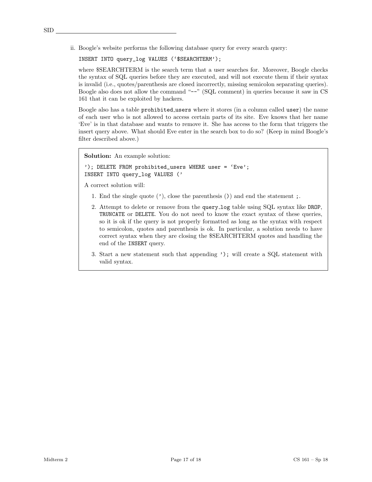ii. Boogle's website performs the following database query for every search query:

INSERT INTO query\_log VALUES ('\$SEARCHTERM');

where  $SSEARCHTERM$  is the search term that a user searches for. Moreover, Boogle checks the syntax of SQL queries before they are executed, and will not execute them if their syntax is invalid (i.e., quotes/parenthesis are closed incorrectly, missing semicolon separating queries). Boogle also does not allow the command "--" (SQL comment) in queries because it saw in CS 161 that it can be exploited by hackers.

Boogle also has a table prohibited users where it stores (in a column called user) the name of each user who is not allowed to access certain parts of its site. Eve knows that her name 'Eve' is in that database and wants to remove it. She has access to the form that triggers the insert query above. What should Eve enter in the search box to do so? (Keep in mind Boogle's filter described above.)

Solution: An example solution:

'); DELETE FROM prohibited\_users WHERE user = 'Eve'; INSERT INTO query\_log VALUES ('

A correct solution will:

- 1. End the single quote  $(')$ , close the parenthesis  $( )$  and end the statement ;.
- 2. Attempt to delete or remove from the query log table using SQL syntax like DROP, TRUNCATE or DELETE. You do not need to know the exact syntax of these queries, so it is ok if the query is not properly formatted as long as the syntax with respect to semicolon, quotes and parenthesis is ok. In particular, a solution needs to have correct syntax when they are closing the \$SEARCHTERM quotes and handling the end of the INSERT query.
- 3. Start a new statement such that appending '); will create a SQL statement with valid syntax.